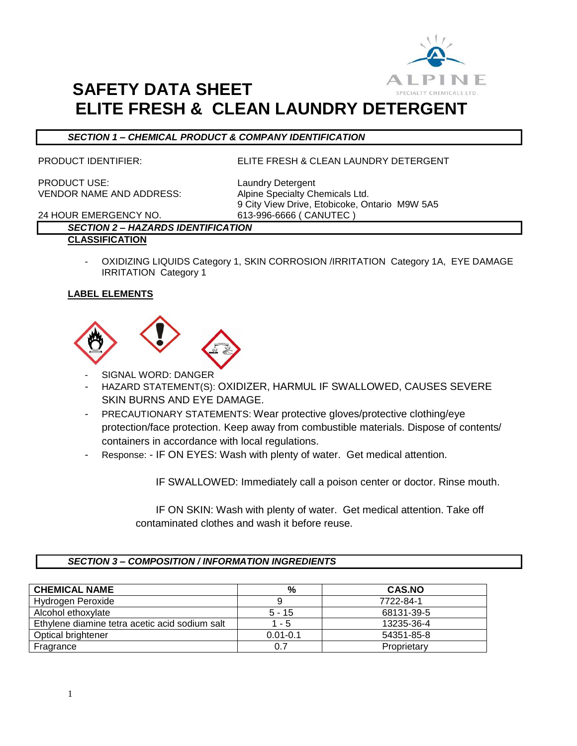

#### *SECTION 1 – CHEMICAL PRODUCT & COMPANY IDENTIFICATION*

PRODUCT IDENTIFIER: ELITE FRESH & CLEAN LAUNDRY DETERGENT

PRODUCT USE: Laundry Detergent VENDOR NAME AND ADDRESS: Alpine Specialty Chemicals Ltd.

9 City View Drive, Etobicoke, Ontario M9W 5A5 24 HOUR EMERGENCY NO. 613-996-6666 ( CANUTEC )

### *SECTION 2 – HAZARDS IDENTIFICATION*

#### **CLASSIFICATION**

OXIDIZING LIQUIDS Category 1, SKIN CORROSION /IRRITATION Category 1A, EYE DAMAGE IRRITATION Category 1

#### **LABEL ELEMENTS**



- SIGNAL WORD: DANGER
- HAZARD STATEMENT(S): OXIDIZER, HARMUL IF SWALLOWED, CAUSES SEVERE SKIN BURNS AND EYE DAMAGE.
- PRECAUTIONARY STATEMENTS: Wear protective gloves/protective clothing/eye protection/face protection. Keep away from combustible materials. Dispose of contents/ containers in accordance with local regulations.
- Response: IF ON EYES: Wash with plenty of water. Get medical attention.

IF SWALLOWED: Immediately call a poison center or doctor. Rinse mouth.

 IF ON SKIN: Wash with plenty of water. Get medical attention. Take off contaminated clothes and wash it before reuse.

#### *SECTION 3 – COMPOSITION / INFORMATION INGREDIENTS*

| <b>CHEMICAL NAME</b>                           | %            | <b>CAS.NO</b> |
|------------------------------------------------|--------------|---------------|
| Hydrogen Peroxide                              |              | 7722-84-1     |
| Alcohol ethoxylate                             | 5 - 15       | 68131-39-5    |
| Ethylene diamine tetra acetic acid sodium salt | $1 - 5$      | 13235-36-4    |
| <b>Optical brightener</b>                      | $0.01 - 0.1$ | 54351-85-8    |
| Fragrance                                      | 0.7          | Proprietary   |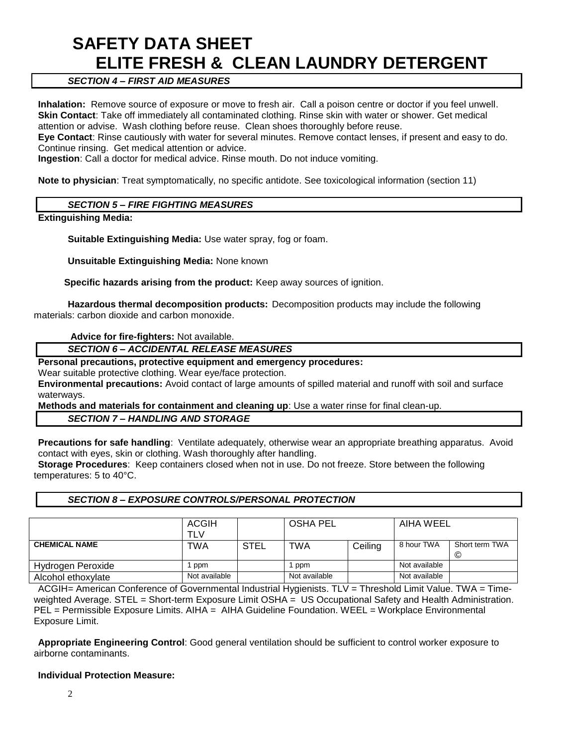### *SECTION 4 – FIRST AID MEASURES*

**Inhalation:** Remove source of exposure or move to fresh air. Call a poison centre or doctor if you feel unwell. **Skin Contact**: Take off immediately all contaminated clothing. Rinse skin with water or shower. Get medical attention or advise. Wash clothing before reuse. Clean shoes thoroughly before reuse.

**Eye Contact**: Rinse cautiously with water for several minutes. Remove contact lenses, if present and easy to do. Continue rinsing. Get medical attention or advice.

**Ingestion**: Call a doctor for medical advice. Rinse mouth. Do not induce vomiting.

**Note to physician**: Treat symptomatically, no specific antidote. See toxicological information (section 11)

#### *SECTION 5 – FIRE FIGHTING MEASURES*

**Extinguishing Media:**

**Suitable Extinguishing Media:** Use water spray, fog or foam.

**Unsuitable Extinguishing Media:** None known

 **Specific hazards arising from the product:** Keep away sources of ignition.

**Hazardous thermal decomposition products:** Decomposition products may include the following materials: carbon dioxide and carbon monoxide.

#### **Advice for fire-fighters:** Not available.

#### *SECTION 6 – ACCIDENTAL RELEASE MEASURES*

#### **Personal precautions, protective equipment and emergency procedures:**

Wear suitable protective clothing. Wear eye/face protection.

**Environmental precautions:** Avoid contact of large amounts of spilled material and runoff with soil and surface waterways.

**Methods and materials for containment and cleaning up**: Use a water rinse for final clean-up.

#### *SECTION 7 – HANDLING AND STORAGE*

**Precautions for safe handling**: Ventilate adequately, otherwise wear an appropriate breathing apparatus. Avoid contact with eyes, skin or clothing. Wash thoroughly after handling.

**Storage Procedures**: Keep containers closed when not in use. Do not freeze. Store between the following temperatures: 5 to 40°C.

#### *SECTION 8 – EXPOSURE CONTROLS/PERSONAL PROTECTION*

|                      | <b>ACGIH</b><br>TLV |             | <b>OSHA PEL</b> |         | AIHA WEEL     |                     |
|----------------------|---------------------|-------------|-----------------|---------|---------------|---------------------|
| <b>CHEMICAL NAME</b> | TWA                 | <b>STEL</b> | <b>TWA</b>      | Ceiling | 8 hour TWA    | Short term TWA<br>© |
| Hydrogen Peroxide    | ppm                 |             | ppm             |         | Not available |                     |
| Alcohol ethoxylate   | Not available       |             | Not available   |         | Not available |                     |

ACGIH= American Conference of Governmental Industrial Hygienists. TLV = Threshold Limit Value. TWA = Timeweighted Average. STEL = Short-term Exposure Limit OSHA = US Occupational Safety and Health Administration. PEL = Permissible Exposure Limits. AIHA = AIHA Guideline Foundation. WEEL = Workplace Environmental Exposure Limit.

**Appropriate Engineering Control**: Good general ventilation should be sufficient to control worker exposure to airborne contaminants.

#### **Individual Protection Measure:**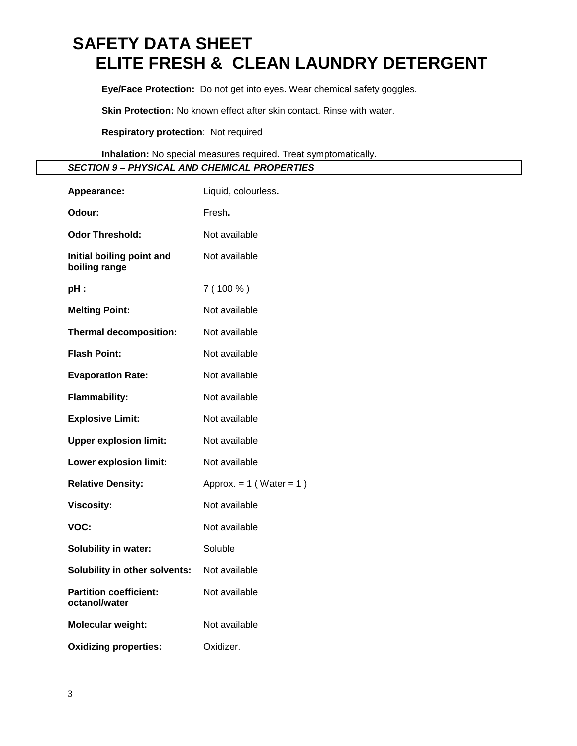**Eye/Face Protection:** Do not get into eyes. Wear chemical safety goggles.

**Skin Protection:** No known effect after skin contact. Rinse with water.

**Respiratory protection**: Not required

**Inhalation:** No special measures required. Treat symptomatically.

*SECTION 9 – PHYSICAL AND CHEMICAL PROPERTIES*

| Appearance:                                    | Liquid, colourless.          |
|------------------------------------------------|------------------------------|
| Odour:                                         | Fresh.                       |
| <b>Odor Threshold:</b>                         | Not available                |
| Initial boiling point and<br>boiling range     | Not available                |
| pH:                                            | $7(100\%)$                   |
| <b>Melting Point:</b>                          | Not available                |
| <b>Thermal decomposition:</b>                  | Not available                |
| <b>Flash Point:</b>                            | Not available                |
| <b>Evaporation Rate:</b>                       | Not available                |
| <b>Flammability:</b>                           | Not available                |
| <b>Explosive Limit:</b>                        | Not available                |
| <b>Upper explosion limit:</b>                  | Not available                |
| <b>Lower explosion limit:</b>                  | Not available                |
| <b>Relative Density:</b>                       | Approx. $= 1$ (Water $= 1$ ) |
| <b>Viscosity:</b>                              | Not available                |
| VOC:                                           | Not available                |
| Solubility in water:                           | Soluble                      |
| Solubility in other solvents:                  | Not available                |
| <b>Partition coefficient:</b><br>octanol/water | Not available                |
| <b>Molecular weight:</b>                       | Not available                |
| <b>Oxidizing properties:</b>                   | Oxidizer.                    |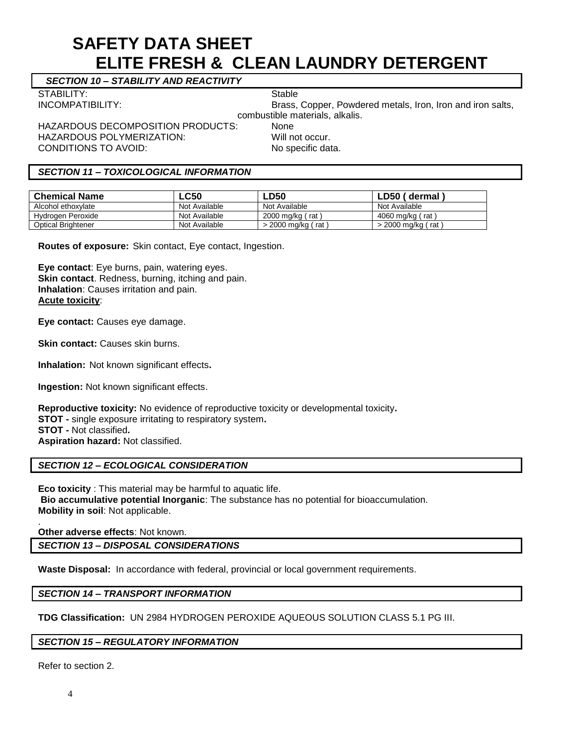*SECTION 10 – STABILITY AND REACTIVITY*

STABILITY: STABILITY:

HAZARDOUS DECOMPOSITION PRODUCTS: None HAZARDOUS POLYMERIZATION: Will not occur. CONDITIONS TO AVOID: No specific data.

INCOMPATIBILITY: Brass, Copper, Powdered metals, Iron, Iron and iron salts, combustible materials, alkalis.

#### *SECTION 11 – TOXICOLOGICAL INFORMATION*

| <b>Chemical Name</b>      | <b>LC50</b>   | <b>LD50</b>           | LD50 (dermal)        |
|---------------------------|---------------|-----------------------|----------------------|
| Alcohol ethoxylate        | Not Available | Not Available         | Not Available        |
| Hydrogen Peroxide         | Not Available | 2000 mg/kg ( rat      | 4060 mg/kg ( rat )   |
| <b>Optical Brightener</b> | Not Available | > 2000 mg/kg /<br>rat | $>$ 2000 mg/kg (rat) |

**Routes of exposure:** Skin contact, Eye contact, Ingestion.

**Eye contact**: Eye burns, pain, watering eyes. **Skin contact**. Redness, burning, itching and pain. **Inhalation**: Causes irritation and pain. **Acute toxicity**:

**Eye contact:** Causes eye damage.

**Skin contact:** Causes skin burns.

**Inhalation:** Not known significant effects**.**

**Ingestion:** Not known significant effects.

**Reproductive toxicity:** No evidence of reproductive toxicity or developmental toxicity**. STOT -** single exposure irritating to respiratory system**. STOT -** Not classified**. Aspiration hazard:** Not classified.

#### *SECTION 12 – ECOLOGICAL CONSIDERATION*

**Eco toxicity** : This material may be harmful to aquatic life. **Bio accumulative potential Inorganic**: The substance has no potential for bioaccumulation. **Mobility in soil**: Not applicable.

**Other adverse effects**: Not known.

*SECTION 13 – DISPOSAL CONSIDERATIONS*

**Waste Disposal:** In accordance with federal, provincial or local government requirements.

#### *SECTION 14 – TRANSPORT INFORMATION*

**TDG Classification:** UN 2984 HYDROGEN PEROXIDE AQUEOUS SOLUTION CLASS 5.1 PG III.

#### *SECTION 15 – REGULATORY INFORMATION*

Refer to section 2.

.